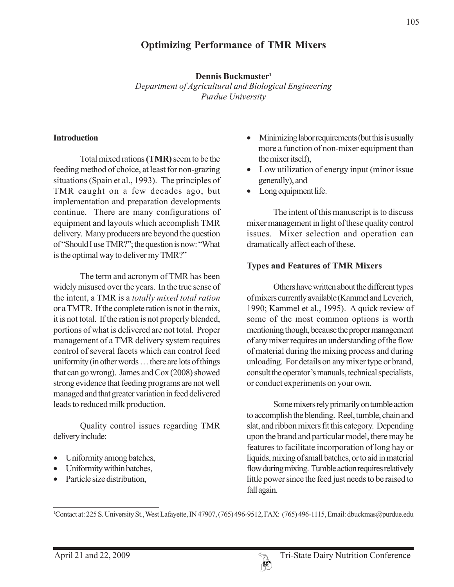# **Optimizing Performance of TMR Mixers**

**Dennis Buckmaster1** *Department of Agricultural and Biological Engineering Purdue University*

#### **Introduction**

Total mixed rations **(TMR)** seem to be the feeding method of choice, at least for non-grazing situations (Spain et al., 1993). The principles of TMR caught on a few decades ago, but implementation and preparation developments continue. There are many configurations of equipment and layouts which accomplish TMR delivery. Many producers are beyond the question of "Should I use TMR?"; the question is now: "What is the optimal way to deliver my TMR?"

The term and acronym of TMR has been widely misused over the years. In the true sense of the intent, a TMR is a *totally mixed total ration* or a TMTR. If the complete ration is not in the mix, it is not total. If the ration is not properly blended, portions of what is delivered are not total. Proper management of a TMR delivery system requires control of several facets which can control feed uniformity (in other words … there are lots of things that can go wrong). James and Cox (2008) showed strong evidence that feeding programs are not well managed and that greater variation in feed delivered leads to reduced milk production.

Quality control issues regarding TMR delivery include:

- Uniformity among batches,
- Uniformity within batches,
- Particle size distribution,
- Minimizing labor requirements (but this is usually more a function of non-mixer equipment than the mixer itself),
- Low utilization of energy input (minor issue generally), and
- Long equipment life.

The intent of this manuscript is to discuss mixer management in light of these quality control issues. Mixer selection and operation can dramatically affect each of these.

### **Types and Features of TMR Mixers**

Others have written about the different types of mixers currently available (Kammel and Leverich, 1990; Kammel et al., 1995). A quick review of some of the most common options is worth mentioning though, because the proper management of any mixer requires an understanding of the flow of material during the mixing process and during unloading. For details on any mixer type or brand, consult the operator's manuals, technical specialists, or conduct experiments on your own.

Some mixers rely primarily on tumble action to accomplish the blending. Reel, tumble, chain and slat, and ribbon mixers fit this category. Depending upon the brand and particular model, there may be features to facilitate incorporation of long hay or liquids, mixing of small batches, or to aid in material flow during mixing. Tumble action requires relatively little power since the feed just needs to be raised to fall again.

1 Contact at: 225 S. University St., West Lafayette, IN 47907, (765) 496-9512, FAX: (765) 496-1115, Email: dbuckmas@purdue.edu

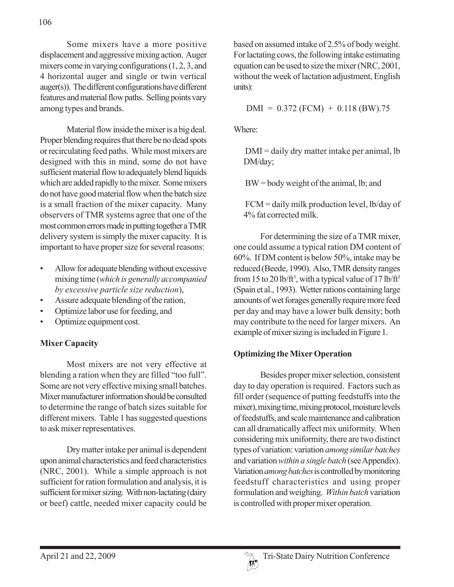Some mixers have a more positive displacement and aggressive mixing action. Auger mixers come in varying configurations (1, 2, 3, and 4 horizontal auger and single or twin vertical auger(s)). The different configurations have different features and material flow paths. Selling points vary among types and brands.

Material flow inside the mixer is a big deal. Proper blending requires that there be no dead spots or recirculating feed paths. While most mixers are designed with this in mind, some do not have sufficient material flow to adequately blend liquids which are added rapidly to the mixer. Some mixers do not have good material flow when the batch size is a small fraction of the mixer capacity. Many observers of TMR systems agree that one of the most common errors made in putting together a TMR delivery system is simply the mixer capacity. It is important to have proper size for several reasons:

- Allow for adequate blending without excessive mixing time (*which is generally accompanied by excessive particle size reduction*),
- Assure adequate blending of the ration,
- Optimize labor use for feeding, and
- Optimize equipment cost.

## **Mixer Capacity**

Most mixers are not very effective at blending a ration when they are filled "too full". Some are not very effective mixing small batches. Mixer manufacturer information should be consulted to determine the range of batch sizes suitable for different mixers. Table 1 has suggested questions to ask mixer representatives.

Dry matter intake per animal is dependent upon animal characteristics and feed characteristics (NRC, 2001). While a simple approach is not sufficient for ration formulation and analysis, it is sufficient for mixer sizing. With non-lactating (dairy or beef) cattle, needed mixer capacity could be

based on assumed intake of 2.5% of body weight. For lactating cows, the following intake estimating equation can be used to size the mixer (NRC, 2001, without the week of lactation adjustment, English units):

 $DMI = 0.372 (FCM) + 0.118 (BW) .75$ 

Where:

DMI = daily dry matter intake per animal, lb DM/day;

BW = body weight of the animal, lb; and

FCM = daily milk production level, lb/day of 4% fat corrected milk.

For determining the size of a TMR mixer, one could assume a typical ration DM content of 60%. If DM content is below 50%, intake may be reduced (Beede, 1990). Also, TMR density ranges from 15 to 20 lb/ft<sup>3</sup>, with a typical value of 17 lb/ft<sup>3</sup> (Spain et al., 1993). Wetter rations containing large amounts of wet forages generally require more feed per day and may have a lower bulk density; both may contribute to the need for larger mixers. An example of mixer sizing is included in Figure 1.

## **Optimizing the Mixer Operation**

Besides proper mixer selection, consistent day to day operation is required. Factors such as fill order (sequence of putting feedstuffs into the mixer), mixing time, mixing protocol, moisture levels of feedstuffs, and scale maintenance and calibration can all dramatically affect mix uniformity. When considering mix uniformity, there are two distinct types of variation: variation *among similar batches* and variation *within a single batch* (see Appendix). Variation *among batches* is controlled by monitoring feedstuff characteristics and using proper formulation and weighing. *Within batch* variation is controlled with proper mixer operation.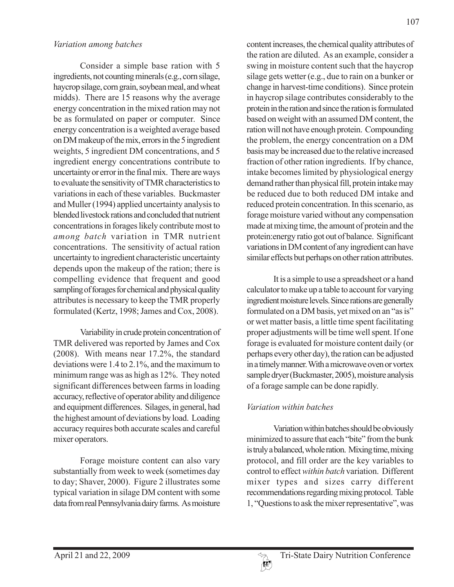#### *Variation among batches*

Consider a simple base ration with 5 ingredients, not counting minerals (e.g., corn silage, haycrop silage, corn grain, soybean meal, and wheat midds). There are 15 reasons why the average energy concentration in the mixed ration may not be as formulated on paper or computer. Since energy concentration is a weighted average based on DM makeup of the mix, errors in the 5 ingredient weights, 5 ingredient DM concentrations, and 5 ingredient energy concentrations contribute to uncertainty or error in the final mix. There are ways to evaluate the sensitivity of TMR characteristics to variations in each of these variables. Buckmaster and Muller (1994) applied uncertainty analysis to blended livestock rations and concluded that nutrient concentrations in forages likely contribute most to *among batch* variation in TMR nutrient concentrations. The sensitivity of actual ration uncertainty to ingredient characteristic uncertainty depends upon the makeup of the ration; there is compelling evidence that frequent and good sampling of forages for chemical and physical quality attributes is necessary to keep the TMR properly formulated (Kertz, 1998; James and Cox, 2008).

Variability in crude protein concentration of TMR delivered was reported by James and Cox (2008). With means near 17.2%, the standard deviations were 1.4 to 2.1%, and the maximum to minimum range was as high as 12%. They noted significant differences between farms in loading accuracy, reflective of operator ability and diligence and equipment differences. Silages, in general, had the highest amount of deviations by load. Loading accuracy requires both accurate scales and careful mixer operators.

Forage moisture content can also vary substantially from week to week (sometimes day to day; Shaver, 2000). Figure 2 illustrates some typical variation in silage DM content with some data from real Pennsylvania dairy farms. As moisture

content increases, the chemical quality attributes of the ration are diluted. As an example, consider a swing in moisture content such that the haycrop silage gets wetter (e.g., due to rain on a bunker or change in harvest-time conditions). Since protein in haycrop silage contributes considerably to the protein in the ration and since the ration is formulated based on weight with an assumed DM content, the ration will not have enough protein. Compounding the problem, the energy concentration on a DM basis may be increased due to the relative increased fraction of other ration ingredients. If by chance, intake becomes limited by physiological energy demand rather than physical fill, protein intake may be reduced due to both reduced DM intake and reduced protein concentration. In this scenario, as forage moisture varied without any compensation made at mixing time, the amount of protein and the protein:energy ratio got out of balance. Significant variations in DM content of any ingredient can have similar effects but perhaps on other ration attributes.

It is a simple to use a spreadsheet or a hand calculator to make up a table to account for varying ingredient moisture levels. Since rations are generally formulated on a DM basis, yet mixed on an "as is" or wet matter basis, a little time spent facilitating proper adjustments will be time well spent. If one forage is evaluated for moisture content daily (or perhaps every other day), the ration can be adjusted in a timely manner. With a microwave oven or vortex sample dryer (Buckmaster, 2005), moisture analysis of a forage sample can be done rapidly.

## *Variation within batches*

Variation within batches should be obviously minimized to assure that each "bite" from the bunk is truly a balanced, whole ration. Mixing time, mixing protocol, and fill order are the key variables to control to effect *within batch* variation. Different mixer types and sizes carry different recommendations regarding mixing protocol. Table 1, "Questions to ask the mixer representative", was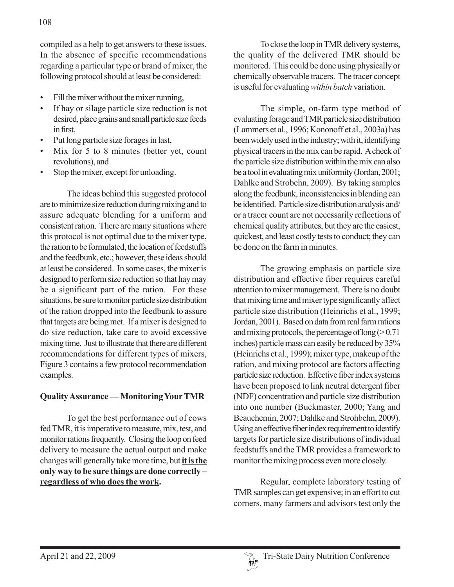- Fill the mixer without the mixer running,
- If hay or silage particle size reduction is not desired, place grains and small particle size feeds in first,
- Put long particle size forages in last,
- Mix for 5 to 8 minutes (better yet, count revolutions), and
- Stop the mixer, except for unloading.

The ideas behind this suggested protocol are to minimize size reduction during mixing and to assure adequate blending for a uniform and consistent ration. There are many situations where this protocol is not optimal due to the mixer type, the ration to be formulated, the location of feedstuffs and the feedbunk, etc.; however, these ideas should at least be considered. In some cases, the mixer is designed to perform size reduction so that hay may be a significant part of the ration. For these situations, be sure to monitor particle size distribution of the ration dropped into the feedbunk to assure that targets are being met. If a mixer is designed to do size reduction, take care to avoid excessive mixing time. Just to illustrate that there are different recommendations for different types of mixers, Figure 3 contains a few protocol recommendation examples.

#### **Quality Assurance — Monitoring Your TMR**

To get the best performance out of cows fed TMR, it is imperative to measure, mix, test, and monitor rations frequently. Closing the loop on feed delivery to measure the actual output and make changes will generally take more time, but **it is the only way to be sure things are done correctly – regardless of who does the work.**

To close the loop in TMR delivery systems, the quality of the delivered TMR should be monitored. This could be done using physically or chemically observable tracers. The tracer concept is useful for evaluating *within batch* variation.

The simple, on-farm type method of evaluating forage and TMR particle size distribution (Lammers et al., 1996; Kononoff et al., 2003a) has been widely used in the industry; with it, identifying physical tracers in the mix can be rapid. A check of the particle size distribution within the mix can also be a tool in evaluating mix uniformity (Jordan, 2001; Dahlke and Strobehn, 2009). By taking samples along the feedbunk, inconsistencies in blending can be identified. Particle size distribution analysis and/ or a tracer count are not necessarily reflections of chemical quality attributes, but they are the easiest, quickest, and least costly tests to conduct; they can be done on the farm in minutes.

The growing emphasis on particle size distribution and effective fiber requires careful attention to mixer management. There is no doubt that mixing time and mixer type significantly affect particle size distribution (Heinrichs et al., 1999; Jordan, 2001). Based on data from real farm rations and mixing protocols, the percentage of long  $(>0.71)$ inches) particle mass can easily be reduced by 35% (Heinrichs et al., 1999); mixer type, makeup of the ration, and mixing protocol are factors affecting particle size reduction. Effective fiber index systems have been proposed to link neutral detergent fiber (NDF) concentration and particle size distribution into one number (Buckmaster, 2000; Yang and Beauchemin, 2007; Dahlke and Strohbehn, 2009). Using an effective fiber index requirement to identify targets for particle size distributions of individual feedstuffs and the TMR provides a framework to monitor the mixing process even more closely.

Regular, complete laboratory testing of TMR samples can get expensive; in an effort to cut corners, many farmers and advisors test only the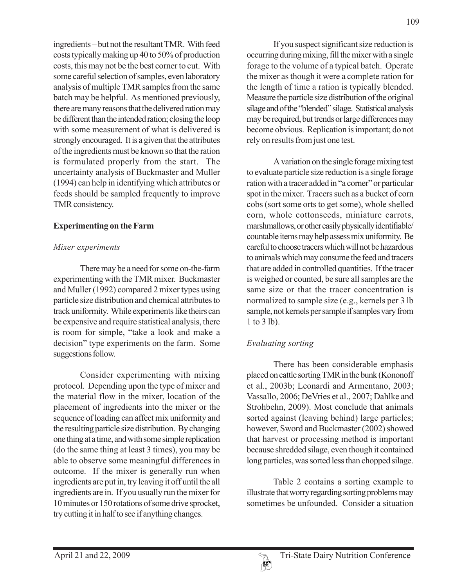ingredients – but not the resultant TMR. With feed costs typically making up 40 to 50% of production costs, this may not be the best corner to cut. With some careful selection of samples, even laboratory analysis of multiple TMR samples from the same batch may be helpful. As mentioned previously, there are many reasons that the delivered ration may be different than the intended ration; closing the loop with some measurement of what is delivered is strongly encouraged. It is a given that the attributes of the ingredients must be known so that the ration is formulated properly from the start. The uncertainty analysis of Buckmaster and Muller (1994) can help in identifying which attributes or feeds should be sampled frequently to improve TMR consistency.

#### **Experimenting on the Farm**

## *Mixer experiments*

There may be a need for some on-the-farm experimenting with the TMR mixer. Buckmaster and Muller (1992) compared 2 mixer types using particle size distribution and chemical attributes to track uniformity. While experiments like theirs can be expensive and require statistical analysis, there is room for simple, "take a look and make a decision" type experiments on the farm. Some suggestions follow.

Consider experimenting with mixing protocol. Depending upon the type of mixer and the material flow in the mixer, location of the placement of ingredients into the mixer or the sequence of loading can affect mix uniformity and the resulting particle size distribution. By changing one thing at a time, and with some simple replication (do the same thing at least 3 times), you may be able to observe some meaningful differences in outcome. If the mixer is generally run when ingredients are put in, try leaving it off until the all ingredients are in. If you usually run the mixer for 10 minutes or 150 rotations of some drive sprocket, try cutting it in half to see if anything changes.

If you suspect significant size reduction is occurring during mixing, fill the mixer with a single forage to the volume of a typical batch. Operate the mixer as though it were a complete ration for the length of time a ration is typically blended. Measure the particle size distribution of the original silage and of the "blended" silage. Statistical analysis may be required, but trends or large differences may become obvious. Replication is important; do not rely on results from just one test.

A variation on the single forage mixing test to evaluate particle size reduction is a single forage ration with a tracer added in "a corner" or particular spot in the mixer. Tracers such as a bucket of corn cobs (sort some orts to get some), whole shelled corn, whole cottonseeds, miniature carrots, marshmallows, or other easily physically identifiable/ countable items may help assess mix uniformity. Be careful to choose tracers which will not be hazardous to animals which may consume the feed and tracers that are added in controlled quantities. If the tracer is weighed or counted, be sure all samples are the same size or that the tracer concentration is normalized to sample size (e.g., kernels per 3 lb sample, not kernels per sample if samples vary from 1 to 3 lb).

## *Evaluating sorting*

There has been considerable emphasis placed on cattle sorting TMR in the bunk (Kononoff et al., 2003b; Leonardi and Armentano, 2003; Vassallo, 2006; DeVries et al., 2007; Dahlke and Strohbehn, 2009). Most conclude that animals sorted against (leaving behind) large particles; however, Sword and Buckmaster (2002) showed that harvest or processing method is important because shredded silage, even though it contained long particles, was sorted less than chopped silage.

Table 2 contains a sorting example to illustrate that worry regarding sorting problems may sometimes be unfounded. Consider a situation

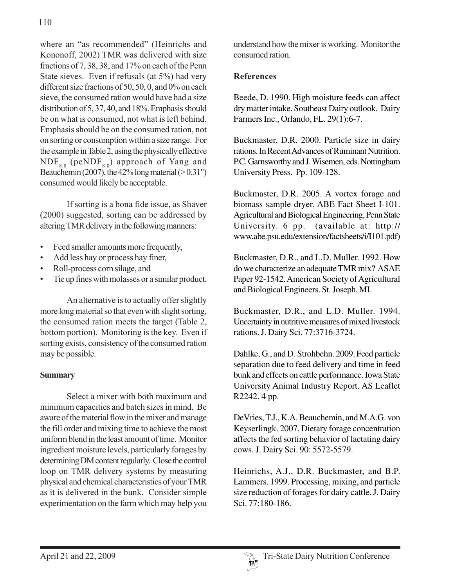where an "as recommended" (Heinrichs and Kononoff, 2002) TMR was delivered with size fractions of 7, 38, 38, and 17% on each of the Penn State sieves. Even if refusals (at 5%) had very different size fractions of 50, 50, 0, and 0% on each sieve, the consumed ration would have had a size distribution of 5, 37, 40, and 18%. Emphasis should be on what is consumed, not what is left behind. Emphasis should be on the consumed ration, not on sorting or consumption within a size range. For the example in Table 2, using the physically effective  $NDF_{8.0}$  (peNDF<sub>8.0</sub>) approach of Yang and Beauchemin (2007), the  $42\%$  long material ( $> 0.31$ ") consumed would likely be acceptable.

If sorting is a bona fide issue, as Shaver (2000) suggested, sorting can be addressed by altering TMR delivery in the following manners:

- Feed smaller amounts more frequently,
- Add less hay or process hay finer,
- Roll-process corn silage, and
- Tie up fines with molasses or a similar product.

An alternative is to actually offer slightly more long material so that even with slight sorting, the consumed ration meets the target (Table 2, bottom portion). Monitoring is the key. Even if sorting exists, consistency of the consumed ration may be possible.

## **Summary**

Select a mixer with both maximum and minimum capacities and batch sizes in mind. Be aware of the material flow in the mixer and manage the fill order and mixing time to achieve the most uniform blend in the least amount of time. Monitor ingredient moisture levels, particularly forages by determining DM content regularly. Close the control loop on TMR delivery systems by measuring physical and chemical characteristics of your TMR as it is delivered in the bunk. Consider simple experimentation on the farm which may help you

understand how the mixer is working. Monitor the consumed ration.

# **References**

Beede, D. 1990. High moisture feeds can affect dry matter intake. Southeast Dairy outlook. Dairy Farmers Inc., Orlando, FL. 29(1):6-7.

Buckmaster, D.R. 2000. Particle size in dairy rations. In Recent Advances of Ruminant Nutrition. P.C. Garnsworthy and J. Wisemen, eds. Nottingham University Press. Pp. 109-128.

Buckmaster, D.R. 2005. A vortex forage and biomass sample dryer. ABE Fact Sheet I-101. Agricultural and Biological Engineering, Penn State University. 6 pp. (available at: http:// www.abe.psu.edu/extension/factsheets/i/I101.pdf)

Buckmaster, D.R., and L.D. Muller. 1992. How do we characterize an adequate TMR mix? ASAE Paper 92-1542. American Society of Agricultural and Biological Engineers. St. Joseph, MI.

Buckmaster, D.R., and L.D. Muller. 1994. Uncertainty in nutritive measures of mixed livestock rations. J. Dairy Sci. 77:3716-3724.

Dahlke, G., and D. Strohbehn. 2009. Feed particle separation due to feed delivery and time in feed bunk and effects on cattle performance. Iowa State University Animal Industry Report. AS Leaflet R2242. 4 pp.

DeVries, T.J., K.A. Beauchemin, and M.A.G. von Keyserlingk. 2007. Dietary forage concentration affects the fed sorting behavior of lactating dairy cows. J. Dairy Sci. 90: 5572-5579.

Heinrichs, A.J., D.R. Buckmaster, and B.P. Lammers. 1999. Processing, mixing, and particle size reduction of forages for dairy cattle. J. Dairy Sci. 77:180-186.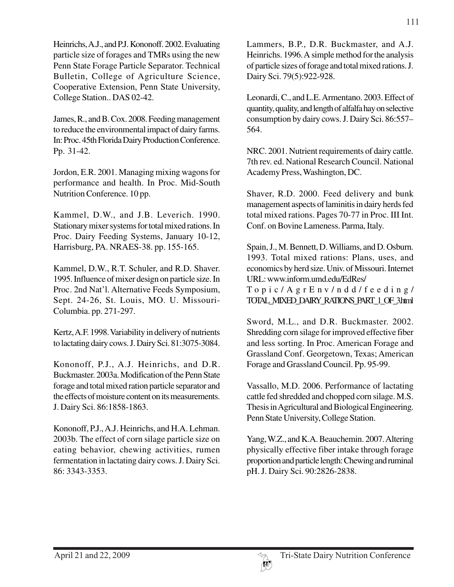Heinrichs, A.J., and P.J. Kononoff. 2002. Evaluating particle size of forages and TMRs using the new Penn State Forage Particle Separator. Technical Bulletin, College of Agriculture Science, Cooperative Extension, Penn State University, College Station.. DAS 02-42.

James, R., and B. Cox. 2008. Feeding management to reduce the environmental impact of dairy farms. In: Proc. 45th Florida Dairy Production Conference. Pp. 31-42.

Jordon, E.R. 2001. Managing mixing wagons for performance and health. In Proc. Mid-South Nutrition Conference. 10 pp.

Kammel, D.W., and J.B. Leverich. 1990. Stationary mixer systems for total mixed rations. In Proc. Dairy Feeding Systems, January 10-12, Harrisburg, PA. NRAES-38. pp. 155-165.

Kammel, D.W., R.T. Schuler, and R.D. Shaver. 1995. Influence of mixer design on particle size. In Proc. 2nd Nat'l. Alternative Feeds Symposium, Sept. 24-26, St. Louis, MO. U. Missouri-Columbia. pp. 271-297.

Kertz, A.F. 1998. Variability in delivery of nutrients to lactating dairy cows. J. Dairy Sci. 81:3075-3084.

Kononoff, P.J., A.J. Heinrichs, and D.R. Buckmaster. 2003a. Modification of the Penn State forage and total mixed ration particle separator and the effects of moisture content on its measurements. J. Dairy Sci. 86:1858-1863.

Kononoff, P.J., A.J. Heinrichs, and H.A. Lehman. 2003b. The effect of corn silage particle size on eating behavior, chewing activities, rumen fermentation in lactating dairy cows. J. Dairy Sci. 86: 3343-3353.

Lammers, B.P., D.R. Buckmaster, and A.J. Heinrichs. 1996. A simple method for the analysis of particle sizes of forage and total mixed rations. J. Dairy Sci. 79(5):922-928.

Leonardi, C., and L.E. Armentano. 2003. Effect of quantity, quality, and length of alfalfa hay on selective consumption by dairy cows. J. Dairy Sci. 86:557– 564.

NRC. 2001. Nutrient requirements of dairy cattle. 7th rev. ed. National Research Council. National Academy Press, Washington, DC.

Shaver, R.D. 2000. Feed delivery and bunk management aspects of laminitis in dairy herds fed total mixed rations. Pages 70-77 in Proc. III Int. Conf. on Bovine Lameness. Parma, Italy.

Spain, J., M. Bennett, D. Williams, and D. Osburn. 1993. Total mixed rations: Plans, uses, and economics by herd size. Univ. of Missouri. Internet URL: www.inform.umd.edu/EdRes/ Topic/AgrEnv/ndd/feeding/ TOTAL\_MIXED\_DAIRY\_RATIONS\_PART\_1\_OF\_3.html

Sword, M.L., and D.R. Buckmaster. 2002. Shredding corn silage for improved effective fiber and less sorting. In Proc. American Forage and Grassland Conf. Georgetown, Texas; American Forage and Grassland Council. Pp. 95-99.

Vassallo, M.D. 2006. Performance of lactating cattle fed shredded and chopped corn silage. M.S. Thesis in Agricultural and Biological Engineering. Penn State University, College Station.

Yang, W.Z., and K.A. Beauchemin. 2007. Altering physically effective fiber intake through forage proportion and particle length: Chewing and ruminal pH. J. Dairy Sci. 90:2826-2838.

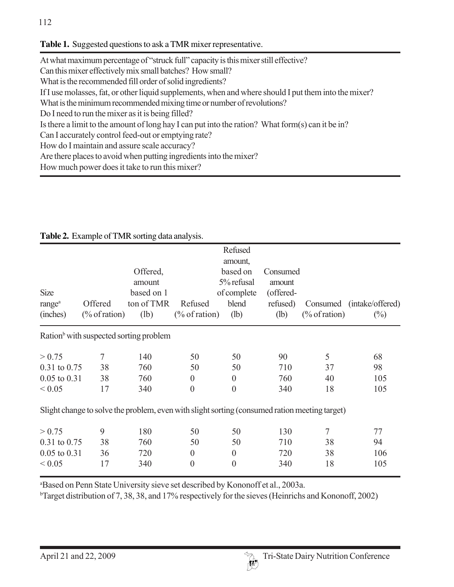### **Table 1.** Suggested questions to ask a TMR mixer representative.

| At what maximum percentage of "struck full" capacity is this mixer still effective?                   |
|-------------------------------------------------------------------------------------------------------|
| Can this mixer effectively mix small batches? How small?                                              |
| What is the recommended fill order of solid ingredients?                                              |
| If I use molasses, fat, or other liquid supplements, when and where should I put them into the mixer? |
| What is the minimum recommended mixing time or number of revolutions?                                 |
| Do I need to run the mixer as it is being filled?                                                     |
| Is there a limit to the amount of long hay I can put into the ration? What form(s) can it be in?      |
| Can I accurately control feed-out or emptying rate?                                                   |
| How do I maintain and assure scale accuracy?                                                          |
| Are there places to avoid when putting ingredients into the mixer?                                    |
| $H_{\alpha}$ much now $\alpha$ does it to $\alpha$ to run this mixor?                                 |

How much power does it take to run this mixer?

|                    |                                                                                               |            |                  | Refused             |           |                  |                           |
|--------------------|-----------------------------------------------------------------------------------------------|------------|------------------|---------------------|-----------|------------------|---------------------------|
|                    |                                                                                               | Offered,   |                  | amount,<br>based on | Consumed  |                  |                           |
|                    |                                                                                               | amount     |                  | 5% refusal          | amount    |                  |                           |
| <b>Size</b>        |                                                                                               | based on 1 |                  | of complete         | (offered- |                  |                           |
| range <sup>a</sup> | Offered                                                                                       | ton of TMR | Refused          | blend               | refused)  |                  | Consumed (intake/offered) |
| (inches)           | $(\%$ of ration)                                                                              | (lb)       | $(\%$ of ration) | (lb)                | (lb)      | $(\%$ of ration) | $(\%)$                    |
|                    | Ration <sup>b</sup> with suspected sorting problem                                            |            |                  |                     |           |                  |                           |
| > 0.75             | 7                                                                                             | 140        | 50               | 50                  | 90        | 5                | 68                        |
| 0.31 to 0.75       | 38                                                                                            | 760        | 50               | 50                  | 710       | 37               | 98                        |
| $0.05$ to $0.31$   | 38                                                                                            | 760        | $\boldsymbol{0}$ | $\boldsymbol{0}$    | 760       | 40               | 105                       |
| ${}< 0.05$         | 17                                                                                            | 340        | $\overline{0}$   | $\boldsymbol{0}$    | 340       | 18               | 105                       |
|                    | Slight change to solve the problem, even with slight sorting (consumed ration meeting target) |            |                  |                     |           |                  |                           |
| > 0.75             | 9                                                                                             | 180        | 50               | 50                  | 130       | 7                | 77                        |
| $0.31$ to $0.75$   | 38                                                                                            | 760        | 50               | 50                  | 710       | 38               | 94                        |
| $0.05$ to $0.31$   | 36                                                                                            | 720        | $\boldsymbol{0}$ | $\boldsymbol{0}$    | 720       | 38               | 106                       |
| ${}< 0.05$         | 17                                                                                            | 340        | $\boldsymbol{0}$ | $\boldsymbol{0}$    | 340       | 18               | 105                       |

### **Table 2.** Example of TMR sorting data analysis.

a Based on Penn State University sieve set described by Kononoff et al., 2003a.

b Target distribution of 7, 38, 38, and 17% respectively for the sieves (Heinrichs and Kononoff, 2002)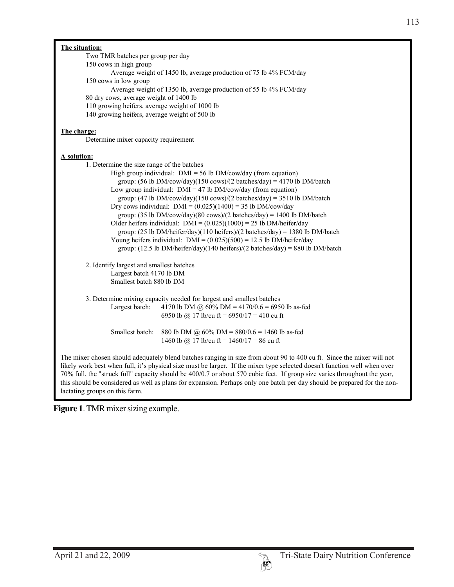| Two TMR batches per group per day                                                                                                                                                           |
|---------------------------------------------------------------------------------------------------------------------------------------------------------------------------------------------|
| 150 cows in high group                                                                                                                                                                      |
| Average weight of 1450 lb, average production of 75 lb 4% FCM/day<br>150 cows in low group                                                                                                  |
| Average weight of 1350 lb, average production of 55 lb 4% FCM/day                                                                                                                           |
| 80 dry cows, average weight of 1400 lb                                                                                                                                                      |
| 110 growing heifers, average weight of 1000 lb                                                                                                                                              |
| 140 growing heifers, average weight of 500 lb                                                                                                                                               |
|                                                                                                                                                                                             |
| The charge:                                                                                                                                                                                 |
| Determine mixer capacity requirement                                                                                                                                                        |
|                                                                                                                                                                                             |
| A solution:                                                                                                                                                                                 |
| 1. Determine the size range of the batches                                                                                                                                                  |
| High group individual: $DMI = 56$ lb $DM/cow/day$ (from equation)                                                                                                                           |
| group: $(56 \text{ lb DM/cow/day})(150 \text{ cows})/(2 \text{ batches/day}) = 4170 \text{ lb DM/batch}$                                                                                    |
| Low group individual: $DMI = 47$ lb $DM/cow/day$ (from equation)                                                                                                                            |
| group: $(47 \text{ lb DM/cow/day})(150 \text{ cows})/(2 \text{ batches/day}) = 3510 \text{ lb DM/batch}$                                                                                    |
| Dry cows individual: $DMI = (0.025)(1400) = 35 lb DM/cow/day$                                                                                                                               |
| group: $(35 \text{ lb DM/cow/day})(80 \text{ cows})/(2 \text{ batches/day}) = 1400 \text{ lb DM/batch}$                                                                                     |
| Older heifers individual: $DMI = (0.025)(1000) = 25 lb DM/heifer/day$                                                                                                                       |
| group: $(25 \text{ lb DM/heifer/day})(110 \text{ heifers})/(2 \text{ batches/day}) = 1380 \text{ lb DM/batch}$                                                                              |
| Young heifers individual: $DMI = (0.025)(500) = 12.5$ lb $DM/heifer/day$<br>group: $(12.5 \text{ lb DM/heifer/day})(140 \text{ heifers})/(2 \text{ batches/day}) = 880 \text{ lb DM/batch}$ |
|                                                                                                                                                                                             |
| 2. Identify largest and smallest batches                                                                                                                                                    |
| Largest batch 4170 lb DM                                                                                                                                                                    |
| Smallest batch 880 lb DM                                                                                                                                                                    |
|                                                                                                                                                                                             |
| 3. Determine mixing capacity needed for largest and smallest batches                                                                                                                        |
| 4170 lb DM @ 60% DM = 4170/0.6 = 6950 lb as-fed<br>Largest batch:                                                                                                                           |
| 6950 lb @ 17 lb/cu ft = 6950/17 = 410 cu ft                                                                                                                                                 |
|                                                                                                                                                                                             |
| Smallest batch:<br>880 lb DM @ 60% DM = 880/0.6 = 1460 lb as-fed                                                                                                                            |
| 1460 lb @ 17 lb/cu ft = $1460/17 = 86$ cu ft                                                                                                                                                |
|                                                                                                                                                                                             |
| The mixer chosen should adequately blend batches ranging in size from about 90 to 400 cu ft. Since the mixer will not                                                                       |
| likely work best when full, it's physical size must be larger. If the mixer type selected doesn't function well when over                                                                   |
| 70% full, the "struck full" capacity should be 400/0.7 or about 570 cubic feet. If group size varies throughout the year,                                                                   |
| this should be considered as well as plans for expansion. Perhaps only one batch per day should be prepared for the non-                                                                    |
| lactating groups on this farm.                                                                                                                                                              |

**Figure 1**. TMR mixer sizing example.

I

**The situation:**

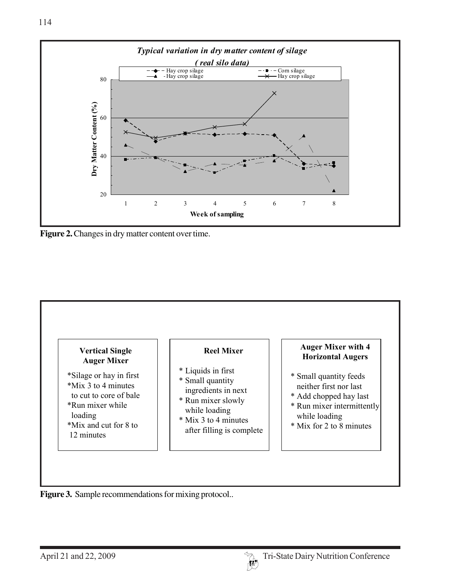

Figure 2. Changes in dry matter content over time.



Figure 3. Sample recommendations for mixing protocol..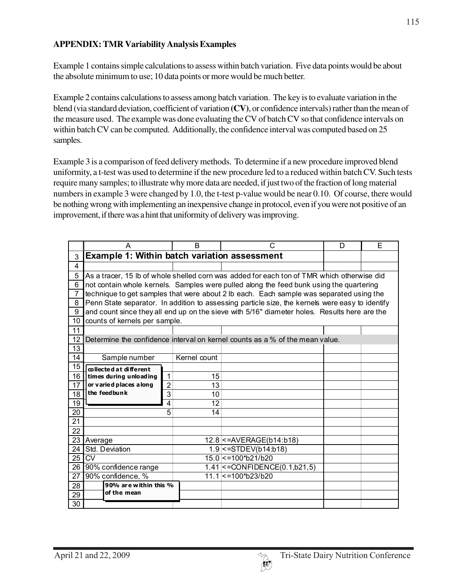#### **APPENDIX: TMR Variability Analysis Examples**

Example 1 contains simple calculations to assess within batch variation. Five data points would be about the absolute minimum to use; 10 data points or more would be much better.

Example 2 contains calculations to assess among batch variation. The key is to evaluate variation in the blend (via standard deviation, coefficient of variation **(CV)**, or confidence intervals) rather than the mean of the measure used. The example was done evaluating the CV of batch CV so that confidence intervals on within batch CV can be computed. Additionally, the confidence interval was computed based on 25 samples.

Example 3 is a comparison of feed delivery methods. To determine if a new procedure improved blend uniformity, a t-test was used to determine if the new procedure led to a reduced within batch CV. Such tests require many samples; to illustrate why more data are needed, if just two of the fraction of long material numbers in example 3 were changed by 1.0, the t-test p-value would be near 0.10. Of course, there would be nothing wrong with implementing an inexpensive change in protocol, even if you were not positive of an improvement, if there was a hint that uniformity of delivery was improving.

|                 | A                                                   |                | B               | C                                                                                               | D | E |
|-----------------|-----------------------------------------------------|----------------|-----------------|-------------------------------------------------------------------------------------------------|---|---|
| 3               | <b>Example 1: Within batch variation assessment</b> |                |                 |                                                                                                 |   |   |
| 4               |                                                     |                |                 |                                                                                                 |   |   |
| 5               |                                                     |                |                 | As a tracer, 15 lb of whole shelled corn was added for each ton of TMR which otherwise did      |   |   |
| $\overline{6}$  |                                                     |                |                 | not contain whole kernels. Samples were pulled along the feed bunk using the quartering         |   |   |
| $\overline{7}$  |                                                     |                |                 | technique to get samples that were about 2 lb each. Each sample was separated using the         |   |   |
| 8               |                                                     |                |                 | Penn State separator. In addition to assessing particle size, the kernels were easy to identify |   |   |
| 9               |                                                     |                |                 | and count since they all end up on the sieve with 5/16" diameter holes. Results here are the    |   |   |
| 10              | counts of kernels per sample.                       |                |                 |                                                                                                 |   |   |
| 11              |                                                     |                |                 |                                                                                                 |   |   |
| 12              |                                                     |                |                 | Determine the confidence interval on kernel counts as a % of the mean value.                    |   |   |
| 13              |                                                     |                |                 |                                                                                                 |   |   |
| 14              | Sample number                                       |                | Kernel count    |                                                                                                 |   |   |
| 15              | collected at different                              |                |                 |                                                                                                 |   |   |
| 16              | times during unloading                              | 1              | 15              |                                                                                                 |   |   |
| 17              | or varied places a long                             | $\overline{2}$ | 13              |                                                                                                 |   |   |
| $\overline{18}$ | the feedbunk                                        | 3              | 10              |                                                                                                 |   |   |
| 19              |                                                     | 4              | $\overline{12}$ |                                                                                                 |   |   |
| 20              |                                                     | 5              | 14              |                                                                                                 |   |   |
| 21              |                                                     |                |                 |                                                                                                 |   |   |
| 22              |                                                     |                |                 |                                                                                                 |   |   |
| 23              | Average                                             |                |                 | 12.8 <= AVERAGE(b14:b18)                                                                        |   |   |
| 24              | Std. Deviation                                      |                |                 | $1.9$ < = STDEV(b14:b18)                                                                        |   |   |
| 25              | <b>CV</b>                                           |                |                 | 15.0 <= 100*b21/b20                                                                             |   |   |
| 26              | 90% confidence range                                |                |                 | $1.41$ < = CONFIDENCE(0.1,b21,5)                                                                |   |   |
| 27              | 90% confidence, %                                   |                |                 | 11.1 <= 100*b23/b20                                                                             |   |   |
| 28              | 90% are within this %<br>of the mean                |                |                 |                                                                                                 |   |   |
| 29              |                                                     |                |                 |                                                                                                 |   |   |
| 30              |                                                     |                |                 |                                                                                                 |   |   |

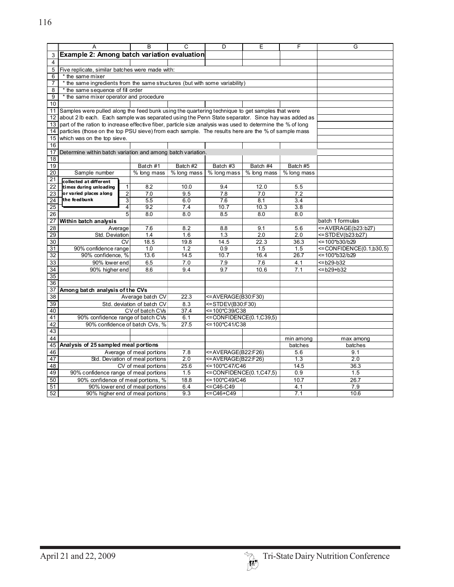|                       | A                                                                                                          |                        | B                 | C                        | D<br>Е                            |             | F           | G                                             |  |
|-----------------------|------------------------------------------------------------------------------------------------------------|------------------------|-------------------|--------------------------|-----------------------------------|-------------|-------------|-----------------------------------------------|--|
| 3                     | Example 2: Among batch variation evaluation                                                                |                        |                   |                          |                                   |             |             |                                               |  |
| $\overline{4}$        |                                                                                                            |                        |                   |                          |                                   |             |             |                                               |  |
| 5                     | Five replicate, similar batches were made with:                                                            |                        |                   |                          |                                   |             |             |                                               |  |
| 6                     | * the same mixer                                                                                           |                        |                   |                          |                                   |             |             |                                               |  |
| 7                     | * the same ingredients from the same structures (but with some variability)                                |                        |                   |                          |                                   |             |             |                                               |  |
| 8                     | * the same sequence of fill order                                                                          |                        |                   |                          |                                   |             |             |                                               |  |
| 9                     | * the same mixer operator and procedure                                                                    |                        |                   |                          |                                   |             |             |                                               |  |
| 10                    |                                                                                                            |                        |                   |                          |                                   |             |             |                                               |  |
| 11                    | Samples were pulled along the feed bunk using the quartering technique to get samples that were            |                        |                   |                          |                                   |             |             |                                               |  |
| 12                    | about 2 lb each. Each sample was separated using the Penn State separator. Since hay was added as          |                        |                   |                          |                                   |             |             |                                               |  |
| 13                    | part of the ration to increase effective fiber, particle size analysis was used to determine the % of long |                        |                   |                          |                                   |             |             |                                               |  |
| 14                    | particles (those on the top PSU sieve) from each sample. The results here are the % of sample mass         |                        |                   |                          |                                   |             |             |                                               |  |
| 15                    | which was on the top sieve.                                                                                |                        |                   |                          |                                   |             |             |                                               |  |
| 16                    |                                                                                                            |                        |                   |                          |                                   |             |             |                                               |  |
| 17                    | Determine within batch variation and among batch variation.                                                |                        |                   |                          |                                   |             |             |                                               |  |
| 18                    |                                                                                                            |                        |                   |                          |                                   |             |             |                                               |  |
| 19                    |                                                                                                            |                        | Batch #1          | Batch #2                 | Batch #3                          | Batch #4    | Batch #5    |                                               |  |
| 20                    | Sample number                                                                                              |                        | % long mass       | % long mass              | % long mass                       | % long mass | % long mass |                                               |  |
| 21                    | collected at different                                                                                     |                        |                   |                          |                                   |             |             |                                               |  |
| 22                    | times during unloading                                                                                     | 1                      | 8.2               | 10.0                     | 9.4                               | 12.0        | 5.5         |                                               |  |
| 23                    | or varied places along                                                                                     | $\overline{c}$         | 7.0               | 9.5                      | 7.8                               | 7.0         | 7.2         |                                               |  |
| 24                    | the feed bunk                                                                                              | 3                      | $\overline{5.5}$  | 6.0                      | 7.6                               | 8.1         | 3.4         |                                               |  |
| 25                    |                                                                                                            | 4                      | 9.2               | 7.4                      | 10.7                              | 10.3        | 3.8         |                                               |  |
| 26                    |                                                                                                            | 5                      | 8.0               | 8.0                      | 8.5                               | 8.0         | 8.0         |                                               |  |
| 27                    | Within batch analysis                                                                                      |                        |                   |                          |                                   |             |             | batch 1 formulas                              |  |
| $\overline{28}$       |                                                                                                            | Average                | 7.6               | 8.2                      | 8.8                               | 9.1         | 5.6         | <= AVERAGE(b23:b27)                           |  |
| 29                    | Std. Deviation                                                                                             |                        | 1.4               | 1.6                      | 1.3                               | 2.0         | 2.0         | <=STDEV(b23:b27)                              |  |
| 30                    |                                                                                                            | $\overline{\text{cv}}$ | 18.5              | 19.8                     | 14.5                              | 22.3        | 36.3        | <= 100*b30/b29                                |  |
| 31                    | 90% confidence range<br>90% confidence, %                                                                  |                        | 1.0               | 1.2                      | 0.9<br>10.7                       | 1.5<br>16.4 | 1.5<br>26.7 | <= CONFIDENCE(0.1,b30,5)<br>$=100^{*}b32/b29$ |  |
| $\overline{32}$       |                                                                                                            |                        | 13.6              | 14.5                     |                                   |             |             |                                               |  |
| 33                    | 90% lower end                                                                                              |                        | 6.5               | 7.0                      | 7.9                               | 7.6         | 4.1         | <= b29-b32                                    |  |
| 34                    | 90% higher end                                                                                             |                        | 8.6               | 9.4                      | 9.7                               | 10.6        | 7.1         | <= b29+b32                                    |  |
| $\overline{35}$<br>36 |                                                                                                            |                        |                   |                          |                                   |             |             |                                               |  |
| 37                    |                                                                                                            |                        |                   |                          |                                   |             |             |                                               |  |
| 38                    | Among batch analysis of the CVs<br>Average batch CV                                                        |                        |                   | 22.3                     | <=AVERAGE(B30:F30)                |             |             |                                               |  |
| 39                    | Std. deviation of batch CV                                                                                 |                        |                   | 8.3                      | <=STDEV(B30:F30)                  |             |             |                                               |  |
| 40                    | CV of batch CVs                                                                                            |                        | 37.4              | <= 100*C39/C38           |                                   |             |             |                                               |  |
| 41                    | 90% confidence range of batch CVs                                                                          |                        | 6.1               | <= CONFIDENCE(0.1,C39,5) |                                   |             |             |                                               |  |
| 42                    | 90% confidence of batch CVs, %                                                                             |                        | $\overline{27.5}$ | <= 100*C41/C38           |                                   |             |             |                                               |  |
| 43                    |                                                                                                            |                        |                   |                          |                                   |             |             |                                               |  |
| 44                    |                                                                                                            |                        |                   |                          |                                   |             | min among   | max among                                     |  |
| 45                    | Analysis of 25 sampled meal portions                                                                       |                        |                   |                          |                                   | batches     | batches     |                                               |  |
| 46                    | Average of meal portions                                                                                   |                        |                   | 7.8                      | <=AVERAGE(B22:F26)                |             | 5.6         | 9.1                                           |  |
| 47                    | Std. Deviation of meal portions                                                                            |                        |                   | 2.0                      | <=AVERAGE(B22:F26)                |             | 1.3         | 2.0                                           |  |
| 48                    | CV of meal portions                                                                                        |                        |                   | 25.6                     | <=100*C47/C46                     |             | 14.5        | 36.3                                          |  |
| 49                    | 90% confidence range of meal portions                                                                      |                        | 1.5               |                          | $\leq$ CONFIDENCE $(0.1, C47, 5)$ |             | 1.5         |                                               |  |
| 50                    | 90% confidence of meal portions, %                                                                         |                        |                   | 18.8                     | <= 100*C49/C46                    |             | 10.7        | 26.7                                          |  |
| 51                    | 90% lower end of meal portions                                                                             |                        |                   | 6.4                      | <=C46-C49                         |             | 4.1         | 7.9                                           |  |
| 52                    | 90% higher end of meal portions                                                                            |                        |                   | 9.3                      | <=C46+C49                         |             | 7.1         | 10.6                                          |  |